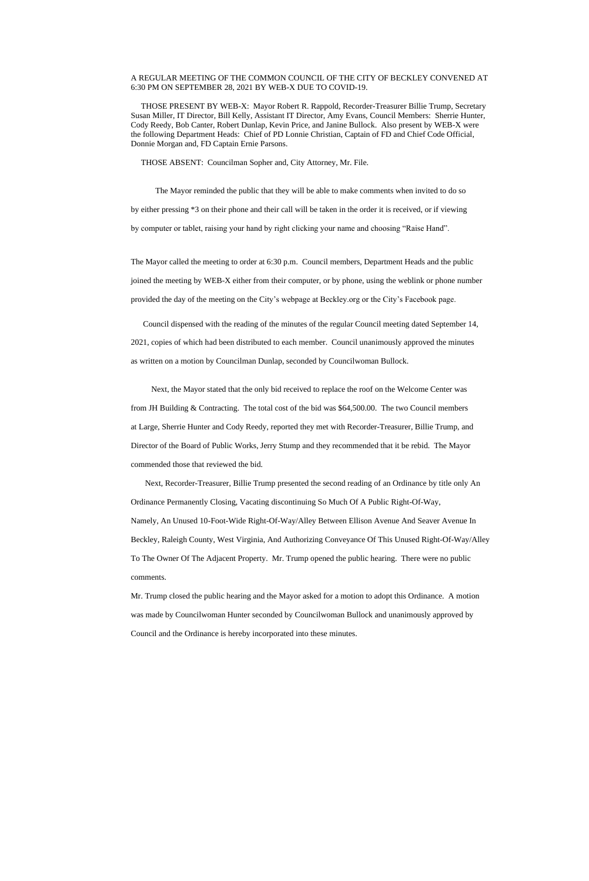## A REGULAR MEETING OF THE COMMON COUNCIL OF THE CITY OF BECKLEY CONVENED AT 6:30 PM ON SEPTEMBER 28, 2021 BY WEB-X DUE TO COVID-19.

 THOSE PRESENT BY WEB-X: Mayor Robert R. Rappold, Recorder-Treasurer Billie Trump, Secretary Susan Miller, IT Director, Bill Kelly, Assistant IT Director, Amy Evans, Council Members: Sherrie Hunter, Cody Reedy, Bob Canter, Robert Dunlap, Kevin Price, and Janine Bullock. Also present by WEB-X were the following Department Heads: Chief of PD Lonnie Christian, Captain of FD and Chief Code Official, Donnie Morgan and, FD Captain Ernie Parsons.

THOSE ABSENT: Councilman Sopher and, City Attorney, Mr. File.

 The Mayor reminded the public that they will be able to make comments when invited to do so by either pressing \*3 on their phone and their call will be taken in the order it is received, or if viewing by computer or tablet, raising your hand by right clicking your name and choosing "Raise Hand".

The Mayor called the meeting to order at 6:30 p.m. Council members, Department Heads and the public joined the meeting by WEB-X either from their computer, or by phone, using the weblink or phone number provided the day of the meeting on the City's webpage at Beckley.org or the City's Facebook page.

 Council dispensed with the reading of the minutes of the regular Council meeting dated September 14, 2021, copies of which had been distributed to each member. Council unanimously approved the minutes as written on a motion by Councilman Dunlap, seconded by Councilwoman Bullock.

 Next, the Mayor stated that the only bid received to replace the roof on the Welcome Center was from JH Building & Contracting. The total cost of the bid was \$64,500.00. The two Council members at Large, Sherrie Hunter and Cody Reedy, reported they met with Recorder-Treasurer, Billie Trump, and Director of the Board of Public Works, Jerry Stump and they recommended that it be rebid. The Mayor commended those that reviewed the bid.

 Next, Recorder-Treasurer, Billie Trump presented the second reading of an Ordinance by title only An Ordinance Permanently Closing, Vacating discontinuing So Much Of A Public Right-Of-Way, Namely, An Unused 10-Foot-Wide Right-Of-Way/Alley Between Ellison Avenue And Seaver Avenue In Beckley, Raleigh County, West Virginia, And Authorizing Conveyance Of This Unused Right-Of-Way/Alley To The Owner Of The Adjacent Property. Mr. Trump opened the public hearing. There were no public comments.

Mr. Trump closed the public hearing and the Mayor asked for a motion to adopt this Ordinance. A motion

was made by Councilwoman Hunter seconded by Councilwoman Bullock and unanimously approved by

Council and the Ordinance is hereby incorporated into these minutes.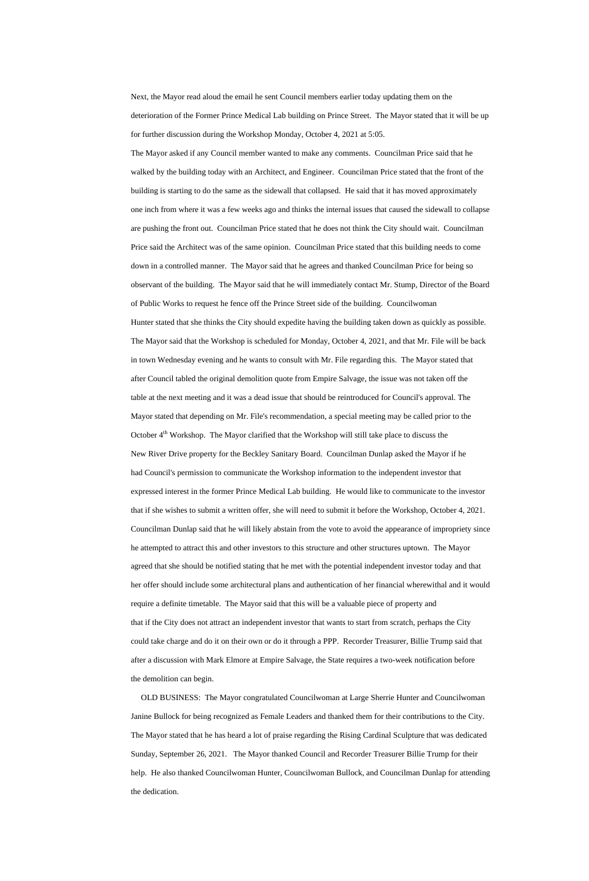Next, the Mayor read aloud the email he sent Council members earlier today updating them on the deterioration of the Former Prince Medical Lab building on Prince Street. The Mayor stated that it will be up for further discussion during the Workshop Monday, October 4, 2021 at 5:05.

The Mayor asked if any Council member wanted to make any comments. Councilman Price said that he walked by the building today with an Architect, and Engineer. Councilman Price stated that the front of the building is starting to do the same as the sidewall that collapsed. He said that it has moved approximately one inch from where it was a few weeks ago and thinks the internal issues that caused the sidewall to collapse are pushing the front out. Councilman Price stated that he does not think the City should wait. Councilman Price said the Architect was of the same opinion. Councilman Price stated that this building needs to come down in a controlled manner. The Mayor said that he agrees and thanked Councilman Price for being so observant of the building. The Mayor said that he will immediately contact Mr. Stump, Director of the Board of Public Works to request he fence off the Prince Street side of the building. Councilwoman Hunter stated that she thinks the City should expedite having the building taken down as quickly as possible. The Mayor said that the Workshop is scheduled for Monday, October 4, 2021, and that Mr. File will be back in town Wednesday evening and he wants to consult with Mr. File regarding this. The Mayor stated that after Council tabled the original demolition quote from Empire Salvage, the issue was not taken off the table at the next meeting and it was a dead issue that should be reintroduced for Council's approval. The Mayor stated that depending on Mr. File's recommendation, a special meeting may be called prior to the October  $4<sup>th</sup>$  Workshop. The Mayor clarified that the Workshop will still take place to discuss the New River Drive property for the Beckley Sanitary Board. Councilman Dunlap asked the Mayor if he had Council's permission to communicate the Workshop information to the independent investor that expressed interest in the former Prince Medical Lab building. He would like to communicate to the investor that if she wishes to submit a written offer, she will need to submit it before the Workshop, October 4, 2021. Councilman Dunlap said that he will likely abstain from the vote to avoid the appearance of impropriety since he attempted to attract this and other investors to this structure and other structures uptown. The Mayor agreed that she should be notified stating that he met with the potential independent investor today and that her offer should include some architectural plans and authentication of her financial wherewithal and it would require a definite timetable. The Mayor said that this will be a valuable piece of property and

that if the City does not attract an independent investor that wants to start from scratch, perhaps the City could take charge and do it on their own or do it through a PPP. Recorder Treasurer, Billie Trump said that after a discussion with Mark Elmore at Empire Salvage, the State requires a two-week notification before the demolition can begin.

 OLD BUSINESS: The Mayor congratulated Councilwoman at Large Sherrie Hunter and Councilwoman Janine Bullock for being recognized as Female Leaders and thanked them for their contributions to the City. The Mayor stated that he has heard a lot of praise regarding the Rising Cardinal Sculpture that was dedicated Sunday, September 26, 2021. The Mayor thanked Council and Recorder Treasurer Billie Trump for their help. He also thanked Councilwoman Hunter, Councilwoman Bullock, and Councilman Dunlap for attending the dedication.